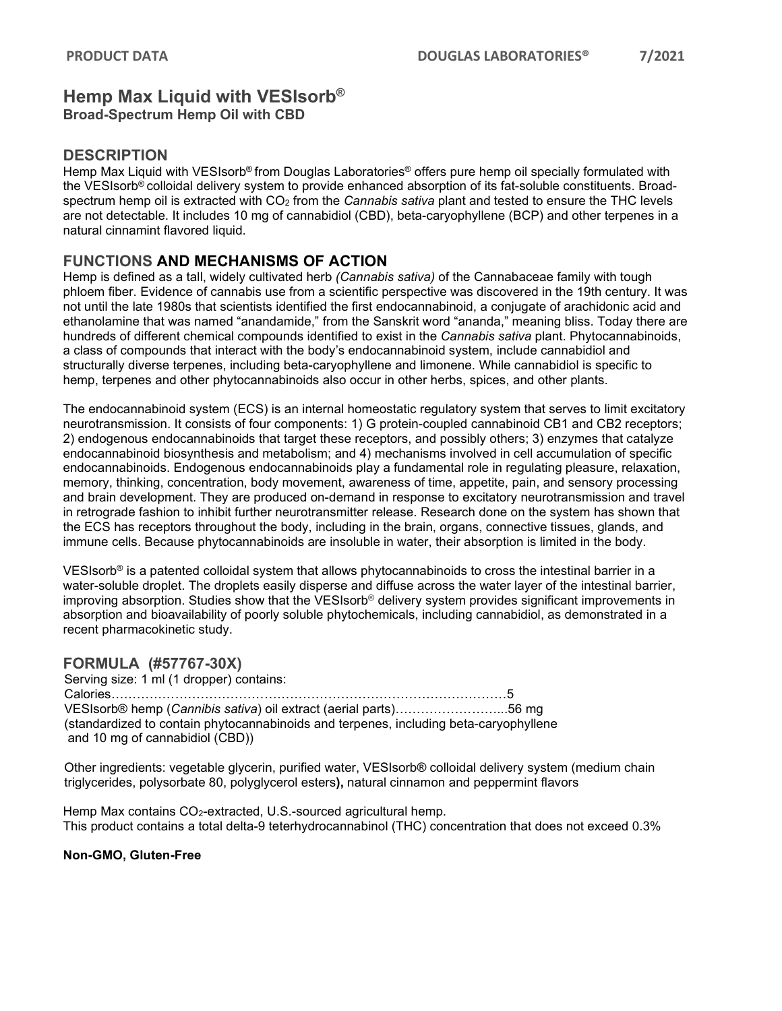# **Hemp Max Liquid with VESIsorb® Broad-Spectrum Hemp Oil with CBD**

## **DESCRIPTION**

Hemp Max Liquid with VESIsorb® from Douglas Laboratories® offers pure hemp oil specially formulated with the VESIsorb® colloidal delivery system to provide enhanced absorption of its fat-soluble constituents. Broadspectrum hemp oil is extracted with CO2 from the *Cannabis sativa* plant and tested to ensure the THC levels are not detectable. It includes 10 mg of cannabidiol (CBD), beta-caryophyllene (BCP) and other terpenes in a natural cinnamint flavored liquid.

## **FUNCTIONS AND MECHANISMS OF ACTION**

Hemp is defined as a tall, widely cultivated herb *(Cannabis sativa)* of the Cannabaceae family with tough phloem fiber. Evidence of cannabis use from a scientific perspective was discovered in the 19th century. It was not until the late 1980s that scientists identified the first endocannabinoid, a conjugate of arachidonic acid and ethanolamine that was named "anandamide," from the Sanskrit word "ananda," meaning bliss. Today there are hundreds of different chemical compounds identified to exist in the *Cannabis sativa* plant. Phytocannabinoids, a class of compounds that interact with the body's endocannabinoid system, include cannabidiol and structurally diverse terpenes, including beta-caryophyllene and limonene. While cannabidiol is specific to hemp, terpenes and other phytocannabinoids also occur in other herbs, spices, and other plants.

The endocannabinoid system (ECS) is an internal homeostatic regulatory system that serves to limit excitatory neurotransmission. It consists of four components: 1) G protein-coupled cannabinoid CB1 and CB2 receptors; 2) endogenous endocannabinoids that target these receptors, and possibly others; 3) enzymes that catalyze endocannabinoid biosynthesis and metabolism; and 4) mechanisms involved in cell accumulation of specific endocannabinoids. Endogenous endocannabinoids play a fundamental role in regulating pleasure, relaxation, memory, thinking, concentration, body movement, awareness of time, appetite, pain, and sensory processing and brain development. They are produced on-demand in response to excitatory neurotransmission and travel in retrograde fashion to inhibit further neurotransmitter release. Research done on the system has shown that the ECS has receptors throughout the body, including in the brain, organs, connective tissues, glands, and immune cells. Because phytocannabinoids are insoluble in water, their absorption is limited in the body.

VESIsorb® is a patented colloidal system that allows phytocannabinoids to cross the intestinal barrier in a water-soluble droplet. The droplets easily disperse and diffuse across the water layer of the intestinal barrier, improving absorption. Studies show that the VESIsorb® delivery system provides significant improvements in absorption and bioavailability of poorly soluble phytochemicals, including cannabidiol, as demonstrated in a recent pharmacokinetic study.

## **FORMULA (#57767-30X)**

Serving size: 1 ml (1 dropper) contains: Calories…………………………………………………………………………………5 VESIsorb® hemp (*Cannibis sativa*) oil extract (aerial parts)……………………...56 mg (standardized to contain phytocannabinoids and terpenes, including beta-caryophyllene and 10 mg of cannabidiol (CBD))

Other ingredients: vegetable glycerin, purified water, VESIsorb® colloidal delivery system (medium chain triglycerides, polysorbate 80, polyglycerol esters**),** natural cinnamon and peppermint flavors

Hemp Max contains CO<sub>2</sub>-extracted, U.S.-sourced agricultural hemp. This product contains a total delta-9 teterhydrocannabinol (THC) concentration that does not exceed 0.3%

#### **Non-GMO, Gluten-Free**